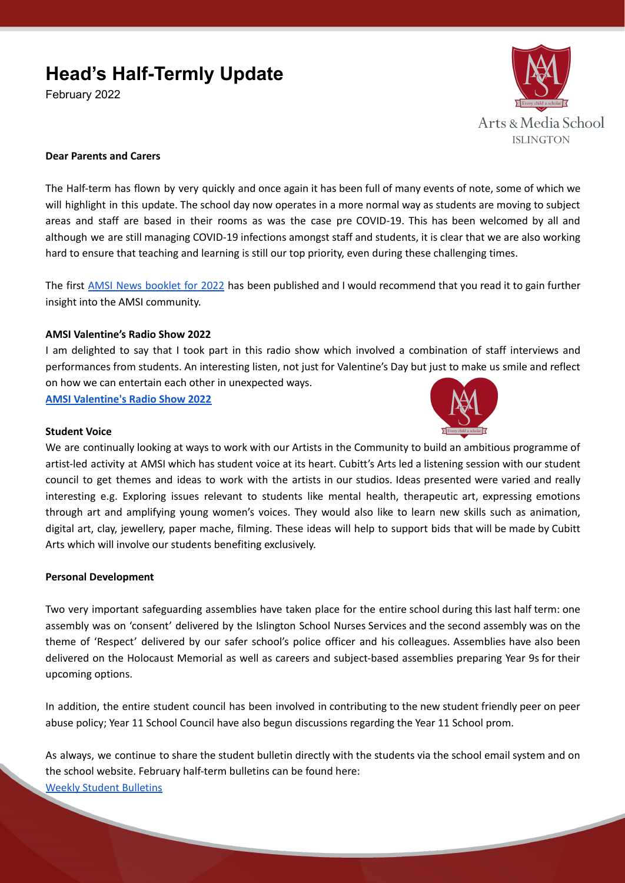# **Head's Half-Termly Update**

February 2022



## **Dear Parents and Carers**

The Half-term has flown by very quickly and once again it has been full of many events of note, some of which we will highlight in this update. The school day now operates in a more normal way as students are moving to subject areas and staff are based in their rooms as was the case pre COVID-19. This has been welcomed by all and although we are still managing COVID-19 infections amongst staff and students, it is clear that we are also working hard to ensure that teaching and learning is still our top priority, even during these challenging times.

The first AMSI News [booklet](https://www.artsandmedia.islington.sch.uk/wp-content/uploads/2022/01/AMSINews_Jan22.pdf) for 2022 has been published and I would recommend that you read it to gain further insight into the AMSI community.

## **AMSI Valentine's Radio Show 2022**

I am delighted to say that I took part in this radio show which involved a combination of staff interviews and performances from students. An interesting listen, not just for Valentine's Day but just to make us smile and reflect on how we can entertain each other in unexpected ways.

**AMSI [Valentine's](https://www.artsandmedia.islington.sch.uk/amsi-valentines-radio-show-2022/) Radio Show 2022**

#### **Student Voice**

We are continually looking at ways to work with our Artists in the Community to build an ambitious programme of artist-led activity at AMSI which has student voice at its heart. Cubitt's Arts led a listening session with our student council to get themes and ideas to work with the artists in our studios. Ideas presented were varied and really interesting e.g. Exploring issues relevant to students like mental health, therapeutic art, expressing emotions through art and amplifying young women's voices. They would also like to learn new skills such as animation, digital art, clay, jewellery, paper mache, filming. These ideas will help to support bids that will be made by Cubitt Arts which will involve our students benefiting exclusively.

### **Personal Development**

Two very important safeguarding assemblies have taken place for the entire school during this last half term: one assembly was on 'consent' delivered by the Islington School Nurses Services and the second assembly was on the theme of 'Respect' delivered by our safer school's police officer and his colleagues. Assemblies have also been delivered on the Holocaust Memorial as well as careers and subject-based assemblies preparing Year 9s for their upcoming options.

In addition, the entire student council has been involved in contributing to the new student friendly peer on peer abuse policy; Year 11 School Council have also begun discussions regarding the Year 11 School prom.

As always, we continue to share the student bulletin directly with the students via the school email system and on the school website. February half-term bulletins can be found here:

Weekly Student [Bulletins](https://www.artsandmedia.islington.sch.uk/parents/weekly-student-bulletins/)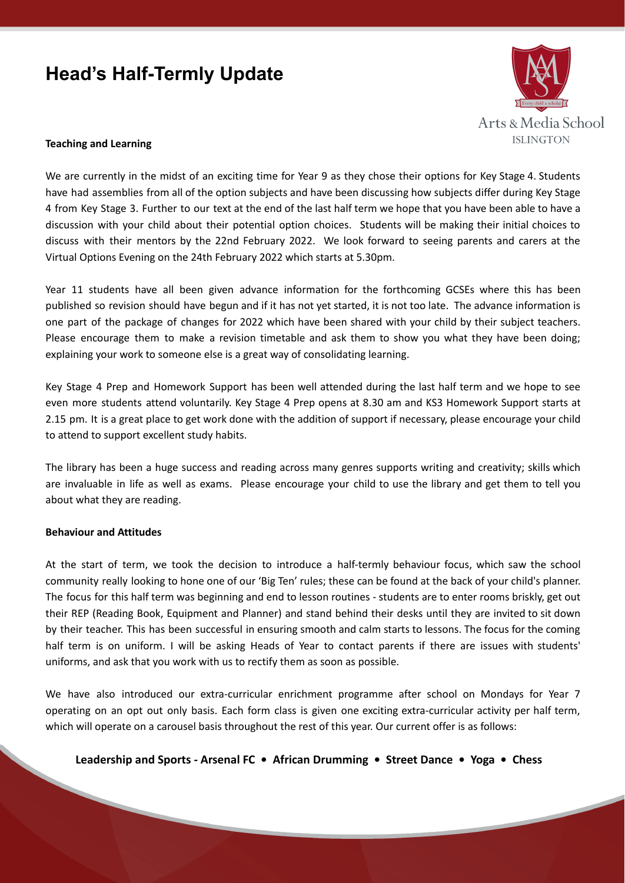# **Head's Half-Termly Update**



#### **Teaching and Learning**

We are currently in the midst of an exciting time for Year 9 as they chose their options for Key Stage 4. Students have had assemblies from all of the option subjects and have been discussing how subjects differ during Key Stage 4 from Key Stage 3. Further to our text at the end of the last half term we hope that you have been able to have a discussion with your child about their potential option choices. Students will be making their initial choices to discuss with their mentors by the 22nd February 2022. We look forward to seeing parents and carers at the Virtual Options Evening on the 24th February 2022 which starts at 5.30pm.

Year 11 students have all been given advance information for the forthcoming GCSEs where this has been published so revision should have begun and if it has not yet started, it is not too late. The advance information is one part of the package of changes for 2022 which have been shared with your child by their subject teachers. Please encourage them to make a revision timetable and ask them to show you what they have been doing; explaining your work to someone else is a great way of consolidating learning.

Key Stage 4 Prep and Homework Support has been well attended during the last half term and we hope to see even more students attend voluntarily. Key Stage 4 Prep opens at 8.30 am and KS3 Homework Support starts at 2.15 pm. It is a great place to get work done with the addition of support if necessary, please encourage your child to attend to support excellent study habits.

The library has been a huge success and reading across many genres supports writing and creativity; skills which are invaluable in life as well as exams. Please encourage your child to use the library and get them to tell you about what they are reading.

### **Behaviour and Attitudes**

At the start of term, we took the decision to introduce a half-termly behaviour focus, which saw the school community really looking to hone one of our 'Big Ten' rules; these can be found at the back of your child's planner. The focus for this half term was beginning and end to lesson routines - students are to enter rooms briskly, get out their REP (Reading Book, Equipment and Planner) and stand behind their desks until they are invited to sit down by their teacher. This has been successful in ensuring smooth and calm starts to lessons. The focus for the coming half term is on uniform. I will be asking Heads of Year to contact parents if there are issues with students' uniforms, and ask that you work with us to rectify them as soon as possible.

We have also introduced our extra-curricular enrichment programme after school on Mondays for Year 7 operating on an opt out only basis. Each form class is given one exciting extra-curricular activity per half term, which will operate on a carousel basis throughout the rest of this year. Our current offer is as follows:

**Leadership and Sports - Arsenal FC • African Drumming • Street Dance • Yoga • Chess**